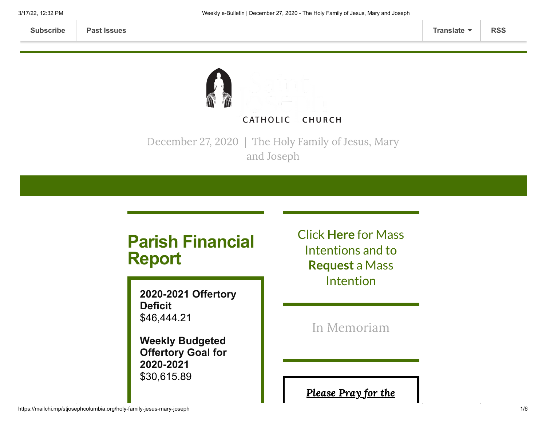

December 27, 2020 | The Holy Family of Jesus, Mary and Joseph

# **Parish Financial Report**

**2020-2021 Offertory Deficit** \$46,444.21

**Weekly Budgeted Offertory Goal for 2020-2021** \$30,615.89

Click **[Here](https://www.stjosephcolumbia.org/mass-intentions)** for Mass Intentions and to **[Request](https://www.stjosephcolumbia.org/mass-intention-requests)** a Mass Intention

In [Memoriam](https://www.stjosephcolumbia.org/in-memoriam)

[Please](https://www.stjosephcolumbia.org/pray-for-the-homebound-sick-of-pari) Pray for the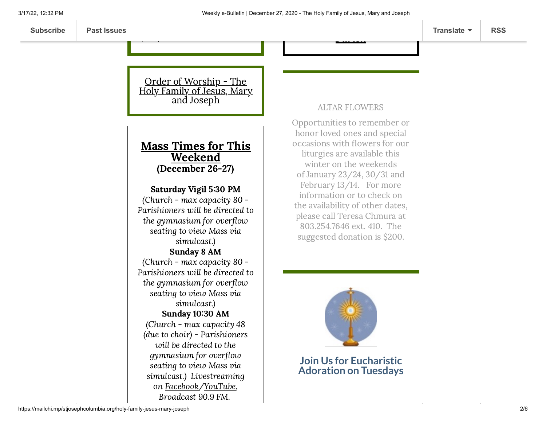Order [of Worship](https://84aadc19-53c5-40cc-90da-b6ef66a7e382.filesusr.com/ugd/2de225_80b1ca1072c14c88b13a99e60c54059c.pdf) - The Holy Family of Jesus, Mary and Joseph

 $\ddotsc$ 

### Mass Times for This Weekend (December 26-27)

#### Saturday Vigil 5:30 PM

(Church - max capacity 80 - Parishioners will be directed to the gymnasium for overflow seating to view Mass via simulcast.)

# Sunday 8 AM

(Church - max capacity 80 - Parishioners will be directed to the gymnasium for overflow seating to view Mass via simulcast.) Sunday 10:30 AM (Church - max capacity 48 (due to choir) - Parishioners will be directed to the gymnasium for overflow seating to view Mass via simulcast.) Livestreaming

> on [Facebook](https://www.facebook.com/stjosephcolumbia/)[/YouTube](https://www.youtube.com/c/StJosephCatholicChurchColumbiaSC), Broadcast 90.9 FM.

#### ALTAR FLOWERS

Parish

Opportunities to remember or honor loved ones and special occasions with flowers for our liturgies are available this winter on the weekends of January 23/24, 30/31 and February 13/14. For more information or to check on the availability of other dates, please call Teresa Chmura at 803.254.7646 ext. 410. The suggested donation is \$200.



#### **Join Us for Eucharistic Adoration on Tuesdays**

#### https://mailchi.mp/stjosephcolumbia.org/holy-family-jesus-mary-joseph 2/6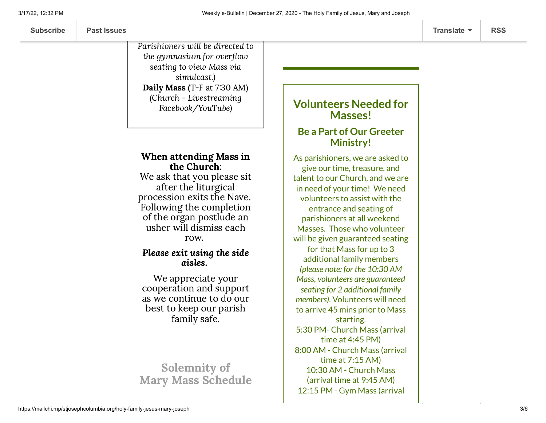Parishioners will be directed to the gymnasium for overflow seating to view Mass via simulcast.) Daily Mass (T-F at  $7:30$  AM) (Church - Livestreaming Facebook/YouTube)

#### When attending Mass in the Church:

We ask that you please sit after the liturgical procession exits the Nave. Following the completion of the organ postlude an usher will dismiss each row.

#### Please exit using the side aisles.

We appreciate your cooperation and support as we continue to do our best to keep our parish family safe.

## Solemnity of Mary Mass Schedule

## **Volunteers Needed for Masses!**

### **Be a Part of Our Greeter Ministry!**

As parishioners, we are asked to give our time, treasure, and talent to our Church, and we are in need of your time! We need volunteers to assist with the entrance and seating of parishioners at all weekend Masses. Those who volunteer will be given guaranteed seating for that Mass for up to 3 additional family members *(please note: for the 10:30 AM Mass, volunteers are guaranteed seating for 2 additional family members)*. Volunteers will need to arrive 45 mins prior to Mass starting. 5:30 PM- Church Mass (arrival time at 4:45 PM) 8:00 AM - Church Mass (arrival time at 7:15 AM) 10:30 AM - Church Mass (arrival time at 9:45 AM) 12:15 PM - Gym Mass (arrival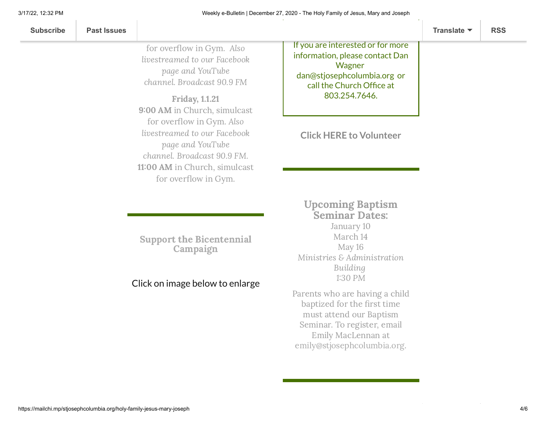| <b>Subscribe</b> | <b>Past Issues</b> |  | Translate $\blacktriangledown$ | <b>RSS</b> |
|------------------|--------------------|--|--------------------------------|------------|
|------------------|--------------------|--|--------------------------------|------------|

for overflow in Gym. Also livestreamed to our Facebook page and YouTube channel. Broadcast 90.9 FM

Friday, 1.1.21 9:00 AM in Church, simulcast for overflow in Gym. Also livestreamed to our Facebook page and YouTube channel. Broadcast 90.9 FM. 11:00 AM in Church, simulcast for overflow in Gym.

Support the [Bicentennial](https://www.stjosephcolumbia.org/bicentennial-campaign) Campaign

#### Click on image below to enlarge

If you are interested or for more information, please contact Dan **Wagner** [dan@stjosephcolumbia.org](mailto:dan@stjosephcolumbia.org) or call the Church Office at 803.254.7646.

**Click HERE to [Volunteer](https://www.stjosephcolumbia.org/volunteer-to-assist-with-masses)**

### Upcoming Baptism Seminar Dates: January 10 March 14 May 16 Ministries & Administration

Building

130 PM Parents who are having a child baptized for the first time must attend our Baptism Seminar. To register, email Emily MacLennan at [emily@stjosephcolumbia.org.](mailto:emily@stjosephcolumbia.org)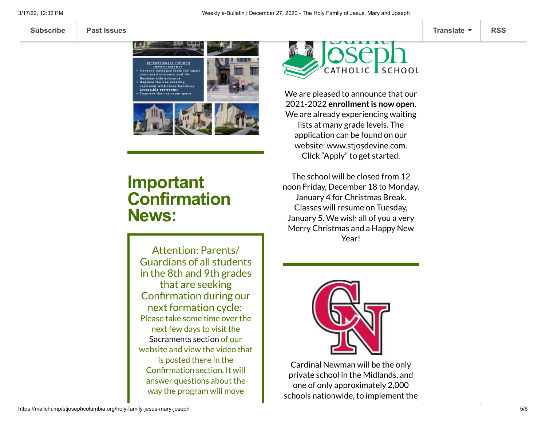**[Subscribe](http://eepurl.com/ded6Lz) [Past Issues](https://us9.campaign-archive.com/home/?u=7399f6b35c8ab775fb1714c3d&id=770b4a80d3) [Translate](javascript:;) [RSS](https://us9.campaign-archive.com/feed?u=7399f6b35c8ab775fb1714c3d&id=770b4a80d3)**



# **Important Confirmation News:**

Attention: Parents/ Guardians of all students in the 8th and 9th grades that are seeking Confirmation during our next formation cycle: Please take some time over the next few days to visit the [Sacraments](https://www.stjosephcolumbia.org/sacraments) section of our website and view the video that is posted there in the Confirmation section. It will answer questions about the way the program will move



We are pleased to announce that our 2021-2022 **enrollmentis now open**. We are already experiencing waiting lists at many grade levels. The application can be found on our website: [www.stjosdevine.com](http://www.stjosdevine.com/). Click "Apply" to get started.

The school will be closed from 12 noon Friday, December 18 to Monday, January 4 for Christmas Break. Classes will resume on Tuesday, January 5. We wish all of you a very Merry Christmas and a Happy New Year!



Cardinal Newman will be the only private school in the Midlands, and one of only approximately 2,000 schools nationwide, to implement the